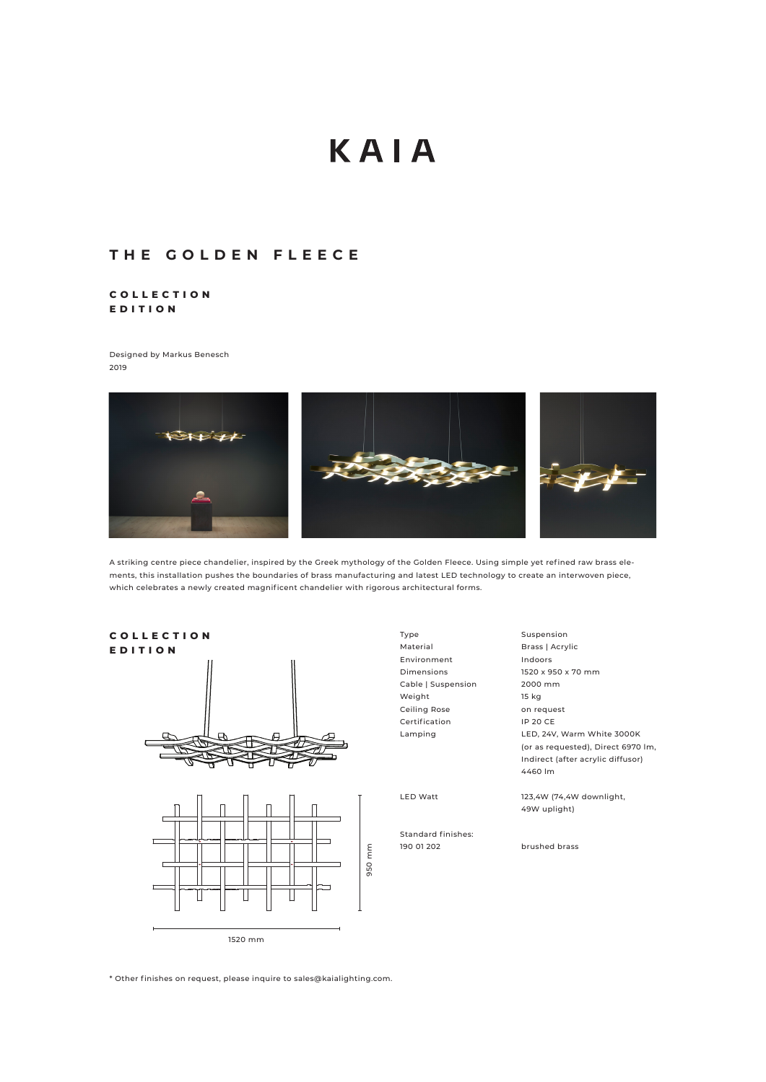# KAIA

## **THE GOLDEN FLEECE**

### **C O L L E C T I O N EDITION**

Designed by Markus Benesch 2019



A striking centre piece chandelier, inspired by the Greek mythology of the Golden Fleece. Using simple yet refined raw brass elements, this installation pushes the boundaries of brass manufacturing and latest LED technology to create an interwoven piece, which celebrates a newly created magnificent chandelier with rigorous architectural forms.





Type Material Environment Dimensions Cable | Suspension Weight Ceiling Rose Certification Lamping

LED Watt

Standard finishes: 190 01 202

Suspension Brass | Acrylic Indoors 1520 x 950 x 70 mm 2000 mm 15 kg on request IP 20 CE LED, 24V, Warm White 3000K (or as requested), Direct 6970 lm, Indirect (after acrylic diffusor) 4460 lm

123,4W (74,4W downlight, 49W uplight)

brushed brass

\* Other finishes on request, please inquire to sales@kaialighting.com.